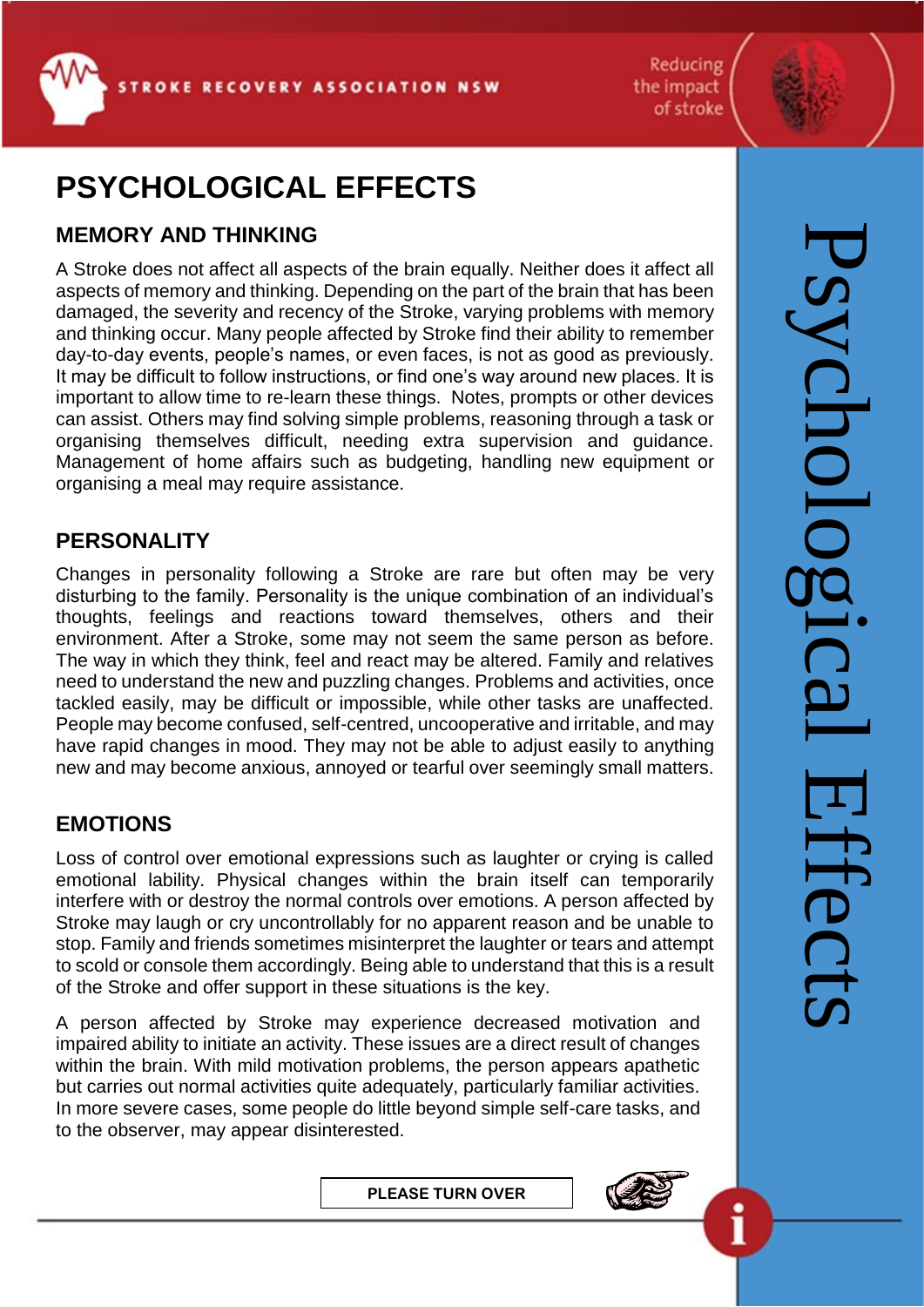Reducing the impact of stroke

# **PSYCHOLOGICAL EFFECTS**

### **MEMORY AND THINKING**

A Stroke does not affect all aspects of the brain equally. Neither does it affect all aspects of memory and thinking. Depending on the part of the brain that has been damaged, the severity and recency of the Stroke, varying problems with memory and thinking occur. Many people affected by Stroke find their ability to remember day-to-day events, people's names, or even faces, is not as good as previously. It may be difficult to follow instructions, or find one's way around new places. It is important to allow time to re-learn these things. Notes, prompts or other devices can assist. Others may find solving simple problems, reasoning through a task or organising themselves difficult, needing extra supervision and guidance. Management of home affairs such as budgeting, handling new equipment or organising a meal may require assistance.

#### **PERSONALITY**

Changes in personality following a Stroke are rare but often may be very disturbing to the family. Personality is the unique combination of an individual's thoughts, feelings and reactions toward themselves, others and their environment. After a Stroke, some may not seem the same person as before. The way in which they think, feel and react may be altered. Family and relatives need to understand the new and puzzling changes. Problems and activities, once tackled easily, may be difficult or impossible, while other tasks are unaffected. People may become confused, self-centred, uncooperative and irritable, and may have rapid changes in mood. They may not be able to adjust easily to anything new and may become anxious, annoyed or tearful over seemingly small matters.

## **EMOTIONS**

L

Loss of control over emotional expressions such as laughter or crying is called emotional lability. Physical changes within the brain itself can temporarily interfere with or destroy the normal controls over emotions. A person affected by Stroke may laugh or cry uncontrollably for no apparent reason and be unable to stop. Family and friends sometimes misinterpret the laughter or tears and attempt to scold or console them accordingly. Being able to understand that this is a result of the Stroke and offer support in these situations is the key.

A person affected by Stroke may experience decreased motivation and impaired ability to initiate an activity. These issues are a direct result of changes within the brain. With mild motivation problems, the person appears apathetic but carries out normal activities quite adequately, particularly familiar activities. In more severe cases, some people do little beyond simple self-care tasks, and to the observer, may appear disinterested.

**PLEASE TURN OVER**